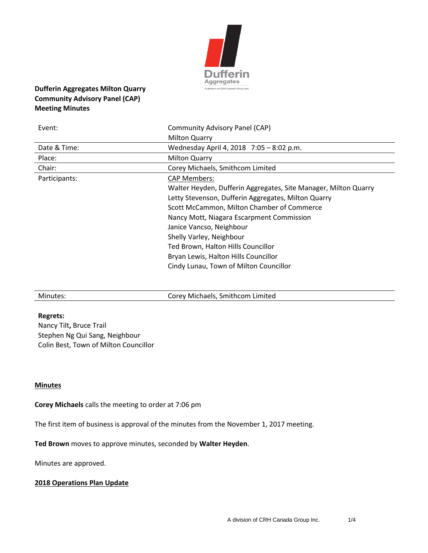

### **Dufferin Aggregates Milton Quarry Community Advisory Panel (CAP) Meeting Minutes**

| Event:        | Community Advisory Panel (CAP)                                  |
|---------------|-----------------------------------------------------------------|
|               | <b>Milton Quarry</b>                                            |
| Date & Time:  | Wednesday April 4, 2018 7:05 - 8:02 p.m.                        |
| Place:        | <b>Milton Quarry</b>                                            |
| Chair:        | Corey Michaels, Smithcom Limited                                |
| Participants: | <b>CAP Members:</b>                                             |
|               | Walter Heyden, Dufferin Aggregates, Site Manager, Milton Quarry |
|               | Letty Stevenson, Dufferin Aggregates, Milton Quarry             |
|               | Scott McCammon, Milton Chamber of Commerce                      |
|               | Nancy Mott, Niagara Escarpment Commission                       |
|               | Janice Vancso, Neighbour                                        |
|               | Shelly Varley, Neighbour                                        |
|               | Ted Brown, Halton Hills Councillor                              |
|               | Bryan Lewis, Halton Hills Councillor                            |
|               | Cindy Lunau, Town of Milton Councillor                          |

Minutes: Corey Michaels, Smithcom Limited

#### **Regrets:**

Nancy Tilt**,** Bruce Trail Stephen Ng Qui Sang, Neighbour Colin Best, Town of Milton Councillor

#### **Minutes**

**Corey Michaels** calls the meeting to order at 7:06 pm

The first item of business is approval of the minutes from the November 1, 2017 meeting.

**Ted Brown** moves to approve minutes, seconded by **Walter Heyden**.

Minutes are approved.

#### **2018 Operations Plan Update**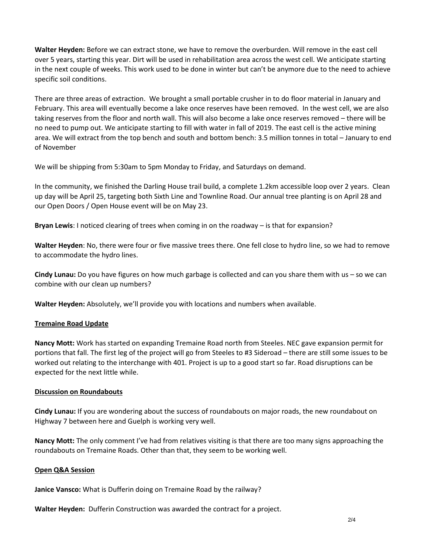**Walter Heyden:** Before we can extract stone, we have to remove the overburden. Will remove in the east cell over 5 years, starting this year. Dirt will be used in rehabilitation area across the west cell. We anticipate starting in the next couple of weeks. This work used to be done in winter but can't be anymore due to the need to achieve specific soil conditions.

There are three areas of extraction. We brought a small portable crusher in to do floor material in January and February. This area will eventually become a lake once reserves have been removed. In the west cell, we are also taking reserves from the floor and north wall. This will also become a lake once reserves removed – there will be no need to pump out. We anticipate starting to fill with water in fall of 2019. The east cell is the active mining area. We will extract from the top bench and south and bottom bench: 3.5 million tonnes in total – January to end of November

We will be shipping from 5:30am to 5pm Monday to Friday, and Saturdays on demand.

In the community, we finished the Darling House trail build, a complete 1.2km accessible loop over 2 years. Clean up day will be April 25, targeting both Sixth Line and Townline Road. Our annual tree planting is on April 28 and our Open Doors / Open House event will be on May 23.

**Bryan Lewis**: I noticed clearing of trees when coming in on the roadway – is that for expansion?

**Walter Heyden**: No, there were four or five massive trees there. One fell close to hydro line, so we had to remove to accommodate the hydro lines.

**Cindy Lunau:** Do you have figures on how much garbage is collected and can you share them with us – so we can combine with our clean up numbers?

**Walter Heyden:** Absolutely, we'll provide you with locations and numbers when available.

#### **Tremaine Road Update**

**Nancy Mott:** Work has started on expanding Tremaine Road north from Steeles. NEC gave expansion permit for portions that fall. The first leg of the project will go from Steeles to #3 Sideroad – there are still some issues to be worked out relating to the interchange with 401. Project is up to a good start so far. Road disruptions can be expected for the next little while.

#### **Discussion on Roundabouts**

**Cindy Lunau:** If you are wondering about the success of roundabouts on major roads, the new roundabout on Highway 7 between here and Guelph is working very well.

**Nancy Mott:** The only comment I've had from relatives visiting is that there are too many signs approaching the roundabouts on Tremaine Roads. Other than that, they seem to be working well.

#### **Open Q&A Session**

**Janice Vansco:** What is Dufferin doing on Tremaine Road by the railway?

**Walter Heyden:** Dufferin Construction was awarded the contract for a project.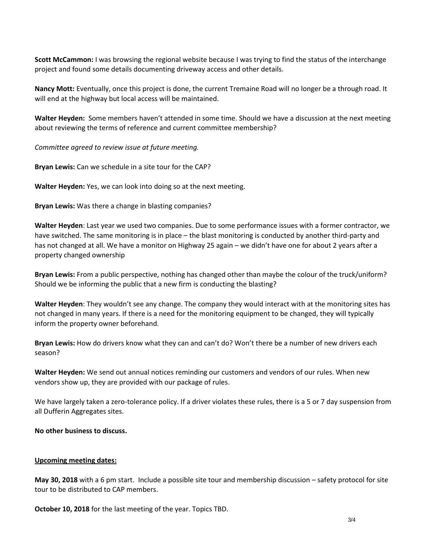**Scott McCammon:** I was browsing the regional website because I was trying to find the status of the interchange project and found some details documenting driveway access and other details.

**Nancy Mott:** Eventually, once this project is done, the current Tremaine Road will no longer be a through road. It will end at the highway but local access will be maintained.

**Walter Heyden:** Some members haven't attended in some time. Should we have a discussion at the next meeting about reviewing the terms of reference and current committee membership?

*Committee agreed to review issue at future meeting.* 

**Bryan Lewis:** Can we schedule in a site tour for the CAP?

**Walter Heyden:** Yes, we can look into doing so at the next meeting.

**Bryan Lewis:** Was there a change in blasting companies?

**Walter Heyden**: Last year we used two companies. Due to some performance issues with a former contractor, we have switched. The same monitoring is in place – the blast monitoring is conducted by another third-party and has not changed at all. We have a monitor on Highway 25 again – we didn't have one for about 2 years after a property changed ownership

**Bryan Lewis:** From a public perspective, nothing has changed other than maybe the colour of the truck/uniform? Should we be informing the public that a new firm is conducting the blasting?

**Walter Heyden**: They wouldn't see any change. The company they would interact with at the monitoring sites has not changed in many years. If there is a need for the monitoring equipment to be changed, they will typically inform the property owner beforehand.

**Bryan Lewis:** How do drivers know what they can and can't do? Won't there be a number of new drivers each season?

**Walter Heyden:** We send out annual notices reminding our customers and vendors of our rules. When new vendors show up, they are provided with our package of rules.

We have largely taken a zero-tolerance policy. If a driver violates these rules, there is a 5 or 7 day suspension from all Dufferin Aggregates sites.

**No other business to discuss.** 

#### **Upcoming meeting dates:**

**May 30, 2018** with a 6 pm start. Include a possible site tour and membership discussion – safety protocol for site tour to be distributed to CAP members.

**October 10, 2018** for the last meeting of the year. Topics TBD.